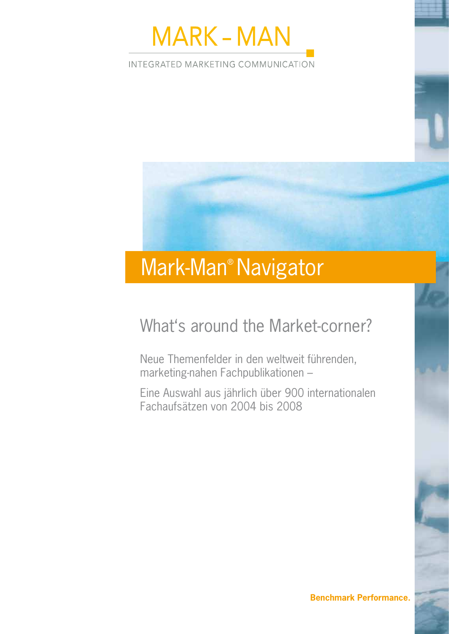

INTEGRATED MARKETING COMMUNICATION

# Mark-Man® Navigator

# What's around the Market-corner?

Neue Themenfelder in den weltweit führenden, marketing-nahen Fachpublikationen –

Eine Auswahl aus jährlich über 900 internationalen Fachaufsätzen von 2004 bis 2008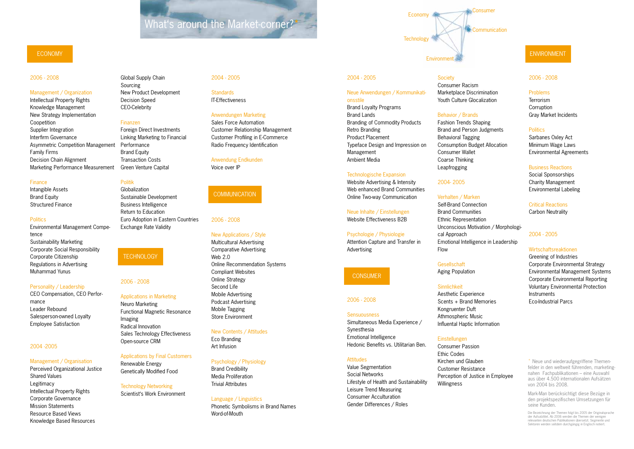### 2006 - 2008

#### Sensuousness

Simultaneous Media Experience / Synesthesia Emotional Intelligence Hedonic Benefits vs. Utilitarian Ben.

Value Segmentation Social Networks Lifestyle of Health and Sustainability Leisure Trend Measuring Consumer Acculturation Gender Differences / Roles

## **Society**

Environmen

**Technology** 

Economy **A** 

#### 2006 - 2008

#### Problems

Terrorism **Corruption** Gray Market Incidents

#### **Politics**

Sarbanes Oxley Act Minimum Wage Laws Environmental Agreements

#### Business Reactions

Social Sponsorships Charity Management Environmental Labeling

Critical Reactions Carbon Neutrality

#### 2004 - 2005

Wirtschaftsreaktionen Greening of Industries

Corporate Environmental Strategy Environmental Management Systems Corporate Environmental Reporting Voluntary Environmental Protection Instruments Eco-Industrial Parcs

#### ENVIRONMENT

#### 2004 - 2005

#### Neue Anwendungen / Kommunikationsstile

Brand Loyalty Programs Brand Lands Branding of Commodity Products Retro Branding Product Placement Typeface Design and Impression on Management Ambient Media

> **Einstellungen** Consumer Passion Ethic Codes Kirchen und Glauben Customer Resistance Perception of Justice in Employee Willingness

#### Technologische Expansion

Website Advertising & Intensity Web enhanced Brand Communities Online Two-way Communication

#### Neue Inhalte / Einstellungen

# Website Effectiveness B2B

### **Attitudes**

#### Psychologie / Physiologie Attention Capture and Transfer in Advertising

### **CONSUMER**

Consumer Racism Marketplace Discrimination Youth Culture Glocalization

#### Behavior / Brands

Fashion Trends Shaping Brand and Person Judgments Behavioral Tagging Consumption Budget Allocation Consumer Wallet Coarse Thinking Leapfrogging

2004- 2005

## Verhalten / Marken

Self-Brand Connection Brand Communities Ethnic Representation Unconscious Motivation / Morphologi-

cal Approach

### Emotional Intelligence in Leadership

Flow

Gesellschaft Aging Population

**Sinnlichkeit** 

Aesthetic Experience Scents + Brand Memories

Kongruenter Duft

Athmospheric Music Influental Haptic Information

\* Neue und wiederaufgegriffene Themenfelder in den weltweit führenden, marketingnahen Fachpublikationen – eine Auswahl aus über 4.500 internationalen Aufsätzen von 2004 bis 2008.

Mark-Man berücksichtigt diese Bezüge in den projektspezifischen Umsetzungen für seine Kunden.

**Standards** IT-Effectiveness

> Die Bezeichnung der Themen folgt bis 2005 der Originalsprache der Aufsatztitel. Ab 2006 werden die Themen der wenigen relevanten deutschen Publikationen übersetzt. Segmente und Sektoren werden seitdem durchgängig in Englisch notiert.

#### Consumer

#### **Communication**

#### 2006 - 2008

#### Management / Organization

Intellectual Property Rights Knowledge Management New Strategy Implementation Coopetition Supplier Integration Interfirm Governance Asymmetric Competition Management Family Firms Decision Chain Alignment Marketing Performance Measurement

#### Finance

Intangible Assets Brand Equity Structured Finance

#### **Politics**

Environmental Management Competence Sustainability Marketing Corporate Social Responsibility Corporate Citizenship Regulations in Advertising Muhammad Yunus

#### Personality / Leadership

CEO Compensation, CEO Performance Leader Rebound Salesperson-owned Loyalty Employee Satisfaction

#### 2004 -2005

#### Management / Organisation

Perceived Organizational Justice Shared Values Legitimacy Intellectual Property Rights Corporate Governance Mission Statements Resource Based Views Knowledge Based Resources

### ECONOMY

#### 2006 - 2008

#### Applications in Marketing

Neuro Marketing Functional Magnetic Resonance Imaging Radical Innovation Sales Technology Effectiveness Open-source CRM

#### Applications by Final Customers

Renewable Energy Genetically Modified Food

# Technology Networking

Scientist's Work Environment



#### 2006 - 2008

#### New Applications / Style

Multicultural Advertising Comparative Advertising Web 2.0 Online Recommendation Systems Compliant Websites Online Strategy Second Life Mobile Advertising Podcast Advertising Mobile Tagging Store Environment

#### New Contents / Attitudes

Eco Branding Art Infusion

#### Psychology / Physiology

Brand Credibility Media Proliferation Trivial Attributes

#### Language / Linguistics

Phonetic Symbolisms in Brand Names Word-of-Mouth

#### Global Supply Chain Sourcing New Product Development Decision Speed

CEO-Celebrity

#### Finanzen

Foreign Direct Investments Linking Marketing to Financial Performance Brand Equity Transaction Costs Green Venture Capital

### Politik

Globalization Sustainable Development Business Intelligence Return to Education Euro Adoption in Eastern Countries Exchange Rate Validity

#### 2004 - 2005

#### Anwendungen Marketing

Sales Force Automation Customer Relationship Management Customer Profiling in E-Commerce Radio Frequency Identification

#### Anwendung Endkunden

Voice over IP

#### **COMMUNICATION**

# What's around the Market-corner?\*